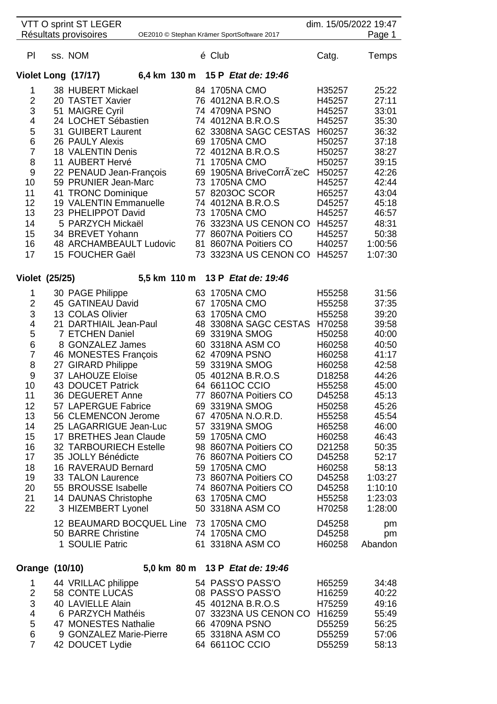|                       | VTT O sprint ST LEGER<br>Résultats provisoires |    |        | OE2010 © Stephan Krämer SportSoftware 2017 |                  | dim. 15/05/2022 19:47<br>Page 1 |
|-----------------------|------------------------------------------------|----|--------|--------------------------------------------|------------------|---------------------------------|
| PI                    | ss. NOM                                        |    | é Club |                                            | Catg.            | Temps                           |
|                       | Violet Long (17/17)                            |    |        | 6,4 km 130 m 15 P Etat de: 19:46           |                  |                                 |
| 1                     | 38 HUBERT Mickael                              |    |        | 84 1705NA CMO                              | H35257           | 25:22                           |
| $\overline{2}$        | 20 TASTET Xavier                               |    |        | 76 4012NA B.R.O.S                          | H45257           | 27:11                           |
| 3                     | 51 MAIGRE Cyril                                |    |        | 74 4709NA PSNO                             | H45257           | 33:01                           |
| 4                     | 24 LOCHET Sébastien                            |    |        | 74 4012NA B.R.O.S                          | H45257           | 35:30                           |
| 5                     | 31 GUIBERT Laurent                             |    |        | 62 3308NA SAGC CESTAS                      | H60257           | 36:32                           |
| 6                     | <b>26 PAULY Alexis</b>                         |    |        | 69 1705NA CMO                              | H50257           | 37:18                           |
| $\overline{7}$        | 18 VALENTIN Denis                              |    |        | 72 4012NA B.R.O.S                          | H50257           | 38:27                           |
| 8                     | 11 AUBERT Hervé                                | 71 |        | <b>1705NA CMO</b>                          | H50257           | 39:15                           |
| 9                     | 22 PENAUD Jean-François                        |    |        | 69 1905NA BriveCorrÂ"zeC                   | H50257           | 42:26                           |
| 10                    | 59 PRUNIER Jean-Marc                           |    |        | 73 1705NA CMO                              | H45257           | 42:44                           |
| 11                    | 41 TRONC Dominique                             |    |        | 57 8203OC SCOR                             | H65257           | 43:04                           |
| 12                    | 19 VALENTIN Emmanuelle                         |    |        | 74 4012NA B.R.O.S                          | D45257           | 45:18                           |
| 13                    | 23 PHELIPPOT David                             |    |        | 73 1705NA CMO                              | H45257           | 46:57                           |
| 14                    | 5 PARZYCH Mickaël                              |    |        | 76 3323NA US CENON CO                      | H45257           | 48:31                           |
| 15                    | 34 BREVET Yohann                               |    |        | 77 8607NA Poitiers CO                      | H45257           | 50:38                           |
| 16                    | 48 ARCHAMBEAULT Ludovic                        |    |        | 81 8607NA Poitiers CO                      | H40257           | 1:00:56                         |
| 17                    | 15 FOUCHER Gaël                                |    |        | 73 3323NA US CENON CO                      | H45257           | 1:07:30                         |
| <b>Violet (25/25)</b> |                                                |    |        | 5,5 km 110 m 13 P Etat de: 19:46           |                  |                                 |
| 1                     | 30 PAGE Philippe                               |    |        | 63 1705NA CMO                              | H55258           | 31:56                           |
| $\overline{2}$        | 45 GATINEAU David                              |    |        | 67 1705NA CMO                              | H55258           | 37:35                           |
| 3                     | 13 COLAS Olivier                               |    |        | 63 1705NA CMO                              | H55258           | 39:20                           |
| 4                     | 21 DARTHIAIL Jean-Paul                         |    |        | 48 3308NA SAGC CESTAS                      | H70258           | 39:58                           |
| 5                     | 7 ETCHEN Daniel                                |    |        | 69 3319NA SMOG                             | H50258           | 40:00                           |
| 6                     | 8 GONZALEZ James                               |    |        | 60 3318NA ASM CO                           | H60258           | 40:50                           |
| $\overline{7}$        | 46 MONESTES François                           |    |        | 62 4709NA PSNO                             | H60258           | 41:17                           |
| 8                     | 27 GIRARD Philippe                             |    |        | 59 3319NA SMOG                             | H60258           | 42:58                           |
| 9                     | 37 LAHOUZE Eloïse                              |    |        | 05 4012NA B.R.O.S                          | D18258           | 44:26                           |
| 10                    | 43 DOUCET Patrick                              |    |        | 64 6611OC CCIO                             | H55258           | 45:00                           |
| 11                    | 36 DEGUERET Anne                               |    |        | 77 8607NA Poitiers CO                      | D45258           | 45:13                           |
| 12<br>13              | 57 LAPERGUE Fabrice<br>56 CLEMENCON Jerome     |    |        | 69 3319NA SMOG<br>67 4705NA N.O.R.D.       | H50258<br>H55258 | 45:26<br>45:54                  |
| 14                    | 25 LAGARRIGUE Jean-Luc                         |    |        | 57 3319NA SMOG                             | H65258           | 46:00                           |
| 15                    | 17 BRETHES Jean Claude                         |    |        | 59 1705NA CMO                              | H60258           | 46:43                           |
| 16                    | <b>32 TARBOURIECH Estelle</b>                  |    |        | 98 8607NA Poitiers CO                      | D21258           | 50:35                           |
| 17                    | 35 JOLLY Bénédicte                             |    |        | 76 8607NA Poitiers CO                      | D45258           | 52:17                           |
| 18                    | 16 RAVERAUD Bernard                            |    |        | 59 1705NA CMO                              | H60258           | 58:13                           |
| 19                    | 33 TALON Laurence                              |    |        | 73 8607NA Poitiers CO                      | D45258           | 1:03:27                         |
| 20                    | 55 BROUSSE Isabelle                            |    |        | 74 8607NA Poitiers CO                      | D45258           | 1:10:10                         |
| 21                    | 14 DAUNAS Christophe                           |    |        | 63 1705NA CMO                              | H55258           | 1:23:03                         |
| 22                    | 3 HIZEMBERT Lyonel                             |    |        | 50 3318NA ASM CO                           | H70258           | 1:28:00                         |
|                       | 12 BEAUMARD BOCQUEL Line                       |    |        | 73 1705NA CMO                              | D45258           | pm                              |
|                       | 50 BARRE Christine                             |    |        | 74 1705NA CMO                              | D45258           | pm                              |
|                       | 1 SOULIE Patric                                |    |        | 61 3318NA ASM CO                           | H60258           | Abandon                         |
| Orange (10/10)        |                                                |    |        | 5,0 km 80 m 13 P Etat de: 19:46            |                  |                                 |

| 2<br>3<br>4<br>5<br>6 | 44 VRILLAC philippe<br><b>58 CONTE LUCAS</b><br>40 LAVIELLE Alain<br>6 PARZYCH Mathéis<br>47 MONESTES Nathalie<br>9 GONZALEZ Marie-Pierre | 54 PASS'O PASS'O<br>08 PASS'O PASS'O<br>45 4012NA B.R.O.S<br>07 3323NA US CENON CO<br>66 4709NA PSNO<br>65 3318NA ASM CO | H65259<br>H16259<br>H75259<br>H <sub>16259</sub><br>D55259<br>D55259 | 34:48<br>40:22<br>49:16<br>55:49<br>56:25<br>57:06 |
|-----------------------|-------------------------------------------------------------------------------------------------------------------------------------------|--------------------------------------------------------------------------------------------------------------------------|----------------------------------------------------------------------|----------------------------------------------------|
| 7                     | 42 DOUCET Lydie                                                                                                                           | 64 6611 OC CCIO                                                                                                          | D55259                                                               | 58:13                                              |
|                       |                                                                                                                                           |                                                                                                                          |                                                                      |                                                    |